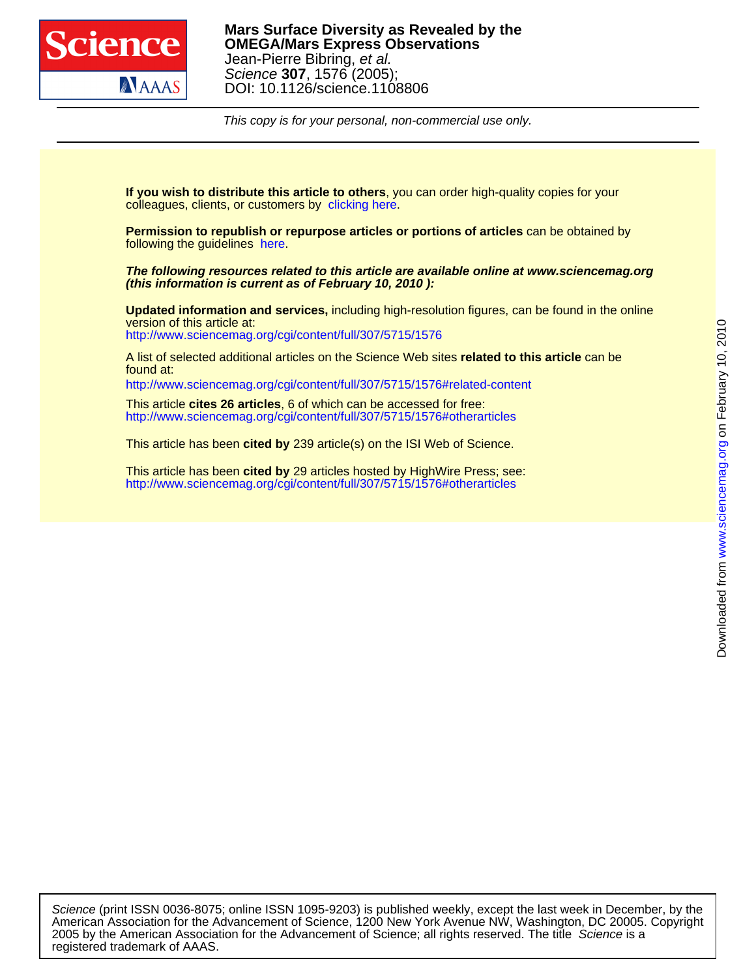

This copy is for your personal, non-commercial use only.

colleagues, clients, or customers by [clicking here.](http://www.sciencemag.org/about/permissions.dtl) **If you wish to distribute this article to others**, you can order high-quality copies for your

following the guidelines [here.](http://www.sciencemag.org/help/about/permissions.dtl) **Permission to republish or repurpose articles or portions of articles** can be obtained by

**(this information is current as of February 10, 2010 ): The following resources related to this article are available online at www.sciencemag.org**

<http://www.sciencemag.org/cgi/content/full/307/5715/1576> version of this article at: **Updated information and services,** including high-resolution figures, can be found in the online

found at: A list of selected additional articles on the Science Web sites **related to this article** can be

<http://www.sciencemag.org/cgi/content/full/307/5715/1576#related-content>

<http://www.sciencemag.org/cgi/content/full/307/5715/1576#otherarticles> This article **cites 26 articles**, 6 of which can be accessed for free:

This article has been **cited by** 239 article(s) on the ISI Web of Science.

<http://www.sciencemag.org/cgi/content/full/307/5715/1576#otherarticles> This article has been **cited by** 29 articles hosted by HighWire Press; see:

registered trademark of AAAS. 2005 by the American Association for the Advancement of Science; all rights reserved. The title Science is a American Association for the Advancement of Science, 1200 New York Avenue NW, Washington, DC 20005. Copyright Science (print ISSN 0036-8075; online ISSN 1095-9203) is published weekly, except the last week in December, by the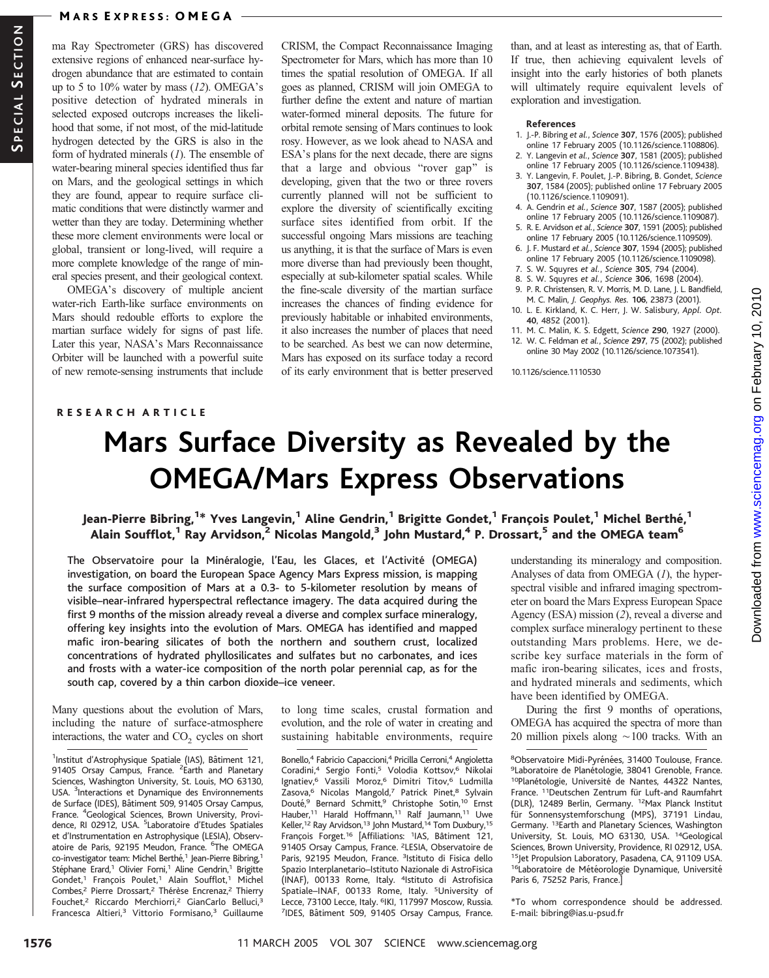#### **MARS EXPRESS: OMEGA**

ma Ray Spectrometer (GRS) has discovered extensive regions of enhanced near-surface hydrogen abundance that are estimated to contain up to 5 to  $10\%$  water by mass (12). OMEGA's positive detection of hydrated minerals in selected exposed outcrops increases the likelihood that some, if not most, of the mid-latitude hydrogen detected by the GRS is also in the form of hydrated minerals (1). The ensemble of water-bearing mineral species identified thus far on Mars, and the geological settings in which they are found, appear to require surface climatic conditions that were distinctly warmer and wetter than they are today. Determining whether these more clement environments were local or global, transient or long-lived, will require a more complete knowledge of the range of mineral species present, and their geological context.

OMEGA's discovery of multiple ancient water-rich Earth-like surface environments on Mars should redouble efforts to explore the martian surface widely for signs of past life. Later this year, NASA's Mars Reconnaissance Orbiter will be launched with a powerful suite of new remote-sensing instruments that include

CRISM, the Compact Reconnaissance Imaging Spectrometer for Mars, which has more than 10 times the spatial resolution of OMEGA. If all goes as planned, CRISM will join OMEGA to further define the extent and nature of martian water-formed mineral deposits. The future for orbital remote sensing of Mars continues to look rosy. However, as we look ahead to NASA and ESA's plans for the next decade, there are signs that a large and obvious "rover gap" is developing, given that the two or three rovers currently planned will not be sufficient to explore the diversity of scientifically exciting surface sites identified from orbit. If the successful ongoing Mars missions are teaching us anything, it is that the surface of Mars is even more diverse than had previously been thought, especially at sub-kilometer spatial scales. While the fine-scale diversity of the martian surface increases the chances of finding evidence for previously habitable or inhabited environments, it also increases the number of places that need to be searched. As best we can now determine, Mars has exposed on its surface today a record of its early environment that is better preserved than, and at least as interesting as, that of Earth. If true, then achieving equivalent levels of insight into the early histories of both planets will ultimately require equivalent levels of exploration and investigation.

#### References

- 1. J.-P. Bibring et al., Science 307, 1576 (2005); published online 17 February 2005 (10.1126/science.1108806).
- 2. Y. Langevin et al., Science 307, 1581 (2005); published online 17 February 2005 (10.1126/science.1109438).
- 3. Y. Langevin, F. Poulet, J.-P. Bibring, B. Gondet, Science 307, 1584 (2005); published online 17 February 2005 (10.1126/science.1109091).
- 4. A. Gendrin et al., Science 307, 1587 (2005); published online 17 February 2005 (10.1126/science.1109087).
- 5. R. E. Arvidson et al., Science 307, 1591 (2005); published online 17 February 2005 (10.1126/science.1109509).
- 6. J. F. Mustard et al., Science 307, 1594 (2005); published online 17 February 2005 (10.1126/science.1109098).
- 7. S. W. Squyres et al., Science 305, 794 (2004).
- 8. S. W. Squyres et al., Science 306, 1698 (2004).
- 9. P. R. Christensen, R. V. Morris, M. D. Lane, J. L. Bandfield, M. C. Malin, J. Geophys. Res. 106, 23873 (2001).
- 10. L. E. Kirkland, K. C. Herr, J. W. Salisbury, Appl. Opt. 40, 4852 (2001).
- 11. M. C. Malin, K. S. Edgett, Science 290, 1927 (2000).
- 12. W. C. Feldman et al., Science 297, 75 (2002); published online 30 May 2002 (10.1126/science.1073541).

10.1126/science.1110530

### RESEARCH ARTICLE

# Mars Surface Diversity as Revealed by the OMEGA/Mars Express Observations

## Jean-Pierre Bibring,<sup>1\*</sup> Yves Langevin,<sup>1</sup> Aline Gendrin,<sup>1</sup> Brigitte Gondet,<sup>1</sup> François Poulet,<sup>1</sup> Michel Berthé,<sup>1</sup> Alain Soufflot,<sup>1</sup> Ray Arvidson,<sup>2</sup> Nicolas Mangold,<sup>3</sup> John Mustard,<sup>4</sup> P. Drossart,<sup>5</sup> and the OMEGA team<sup>6</sup>

The Observatoire pour la Minéralogie, l'Eau, les Glaces, et l'Activité (OMEGA) investigation, on board the European Space Agency Mars Express mission, is mapping the surface composition of Mars at a 0.3- to 5-kilometer resolution by means of visible–near-infrared hyperspectral reflectance imagery. The data acquired during the first 9 months of the mission already reveal a diverse and complex surface mineralogy, offering key insights into the evolution of Mars. OMEGA has identified and mapped mafic iron-bearing silicates of both the northern and southern crust, localized concentrations of hydrated phyllosilicates and sulfates but no carbonates, and ices and frosts with a water-ice composition of the north polar perennial cap, as for the south cap, covered by a thin carbon dioxide–ice veneer.

Many questions about the evolution of Mars, including the nature of surface-atmosphere interactions, the water and  $CO<sub>2</sub>$  cycles on short

<sup>1</sup>Institut d'Astrophysique Spatiale (IAS), Bâtiment 121, 91405 Orsay Campus, France. <sup>2</sup>Earth and Planetary Sciences, Washington University, St. Louis, MO 63130, USA. <sup>3</sup>Interactions et Dynamique des Environnements de Surface (IDES), Bâtiment 509, 91405 Orsay Campus, France. <sup>4</sup>Geological Sciences, Brown University, Providence, RI 02912, USA. <sup>5</sup>Laboratoire d'Etudes Spatiales et d'Instrumentation en Astrophysique (LESIA), Observatoire de Paris, 92195 Meudon, France. <sup>6</sup>The OMEGA co-investigator team: Michel Berthé,<sup>1</sup> Jean-Pierre Bibring,<sup>1</sup> Stéphane Erard,<sup>1</sup> Olivier Forni,<sup>1</sup> Aline Gendrin,<sup>1</sup> Brigitte Gondet,<sup>1</sup> François Poulet,<sup>1</sup> Alain Soufflot,<sup>1</sup> Michel Combes,<sup>2</sup> Pierre Drossart,<sup>2</sup> Thérèse Encrenaz,<sup>2</sup> Thierry Fouchet,<sup>2</sup> Riccardo Merchiorri,<sup>2</sup> GianCarlo Belluci,<sup>3</sup> Francesca Altieri,<sup>3</sup> Vittorio Formisano,3 Guillaume

to long time scales, crustal formation and evolution, and the role of water in creating and sustaining habitable environments, require

Bonello,<sup>4</sup> Fabricio Capaccioni,<sup>4</sup> Pricilla Cerroni,<sup>4</sup> Angioletta Coradini,<sup>4</sup> Sergio Fonti,<sup>5</sup> Volodia Kottsov,<sup>6</sup> Nikolai Ignatiev,<sup>6</sup> Vassili Moroz,<sup>6</sup> Dimitri Titov,<sup>6</sup> Ludmilla Zasova,<sup>6</sup> Nicolas Mangold,<sup>7</sup> Patrick Pinet,<sup>8</sup> Sylvain Douté,<sup>9</sup> Bernard Schmitt,<sup>9</sup> Christophe Sotin,<sup>10</sup> Ernst Hauber,<sup>11</sup> Harald Hoffmann,<sup>11</sup> Ralf Jaumann,<sup>11</sup> Uwe Keller,<sup>12</sup> Ray Arvidson,<sup>13</sup> John Mustard,<sup>14</sup> Tom Duxbury,<sup>15</sup> François Forget.<sup>16</sup> [Affiliations: <sup>1</sup>IAS, Bâtiment 121, 91405 Orsay Campus, France. 2LESIA, Observatoire de Paris, 92195 Meudon, France. <sup>3</sup>Istituto di Fisica dello Spazio Interplanetario–Istituto Nazionale di AstroFisica (INAF), 00133 Rome, Italy. 4Istituto di Astrofisica Spatiale–INAF, 00133 Rome, Italy. 5University of Lecce, 73100 Lecce, Italy. <sup>6</sup>IKI, 117997 Moscow, Russia. <sup>7</sup>IDES, Bâtiment 509, 91405 Orsay Campus, France.

understanding its mineralogy and composition. Analyses of data from OMEGA  $(1)$ , the hyperspectral visible and infrared imaging spectrometer on board the Mars Express European Space Agency (ESA) mission (2), reveal a diverse and complex surface mineralogy pertinent to these outstanding Mars problems. Here, we describe key surface materials in the form of mafic iron-bearing silicates, ices and frosts, and hydrated minerals and sediments, which have been identified by OMEGA.

During the first 9 months of operations, OMEGA has acquired the spectra of more than 20 million pixels along  $\sim$  100 tracks. With an

\*To whom correspondence should be addressed. E-mail: bibring@ias.u-psud.fr

<sup>8</sup>Observatoire Midi-Pyrénées, 31400 Toulouse, France. <sup>9</sup>Laboratoire de Planétologie, 38041 Grenoble, France. <sup>10</sup>Planétologie, Université de Nantes, 44322 Nantes, France. <sup>11</sup>Deutschen Zentrum für Luft-and Raumfahrt (DLR), 12489 Berlin, Germany. 12Max Planck Institut für Sonnensystemforschung (MPS), 37191 Lindau, Germany. 13Earth and Planetary Sciences, Washington University, St. Louis, MO 63130, USA. 14Geological Sciences, Brown University, Providence, RI 02912, USA. <sup>15</sup>Jet Propulsion Laboratory, Pasadena, CA, 91109 USA. 16Laboratoire de Météorologie Dynamique, Université Paris 6, 75252 Paris, France.]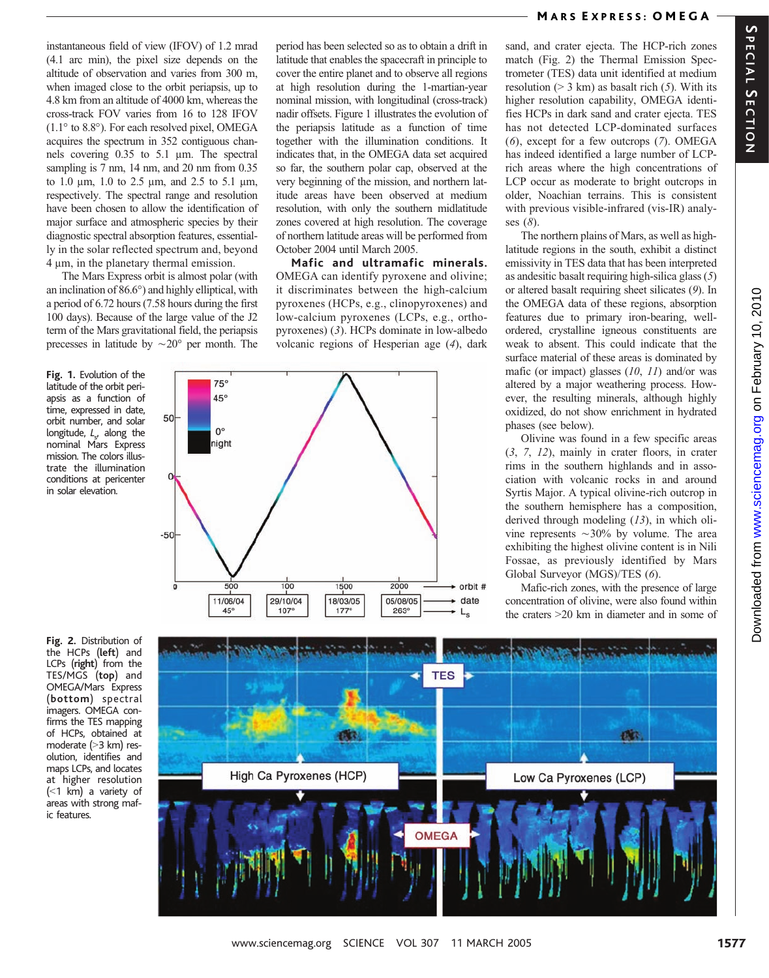instantaneous field of view (IFOV) of 1.2 mrad (4.1 arc min), the pixel size depends on the altitude of observation and varies from 300 m, when imaged close to the orbit periapsis, up to 4.8 km from an altitude of 4000 km, whereas the cross-track FOV varies from 16 to 128 IFOV  $(1.1^{\circ}$  to 8.8°). For each resolved pixel, OMEGA acquires the spectrum in 352 contiguous channels covering 0.35 to 5.1 µm. The spectral sampling is 7 nm, 14 nm, and 20 nm from 0.35 to 1.0  $\mu$ m, 1.0 to 2.5  $\mu$ m, and 2.5 to 5.1  $\mu$ m, respectively. The spectral range and resolution have been chosen to allow the identification of major surface and atmospheric species by their diagnostic spectral absorption features, essentially in the solar reflected spectrum and, beyond  $4 \mu m$ , in the planetary thermal emission.

The Mars Express orbit is almost polar (with an inclination of  $86.6^{\circ}$ ) and highly elliptical, with a period of 6.72 hours (7.58 hours during the first 100 days). Because of the large value of the J2 term of the Mars gravitational field, the periapsis precesses in latitude by  $\sim$  20 $^{\circ}$  per month. The

Fig. 1. Evolution of the latitude of the orbit periapsis as a function of time, expressed in date, orbit number, and solar longitude,  $L<sub>s'</sub>$  along the nominal Mars Express mission. The colors illustrate the illumination conditions at pericenter in solar elevation.

Fig. 2. Distribution of the HCPs (left) and LCPs (right) from the TES/MGS (top) and OMEGA/Mars Express (bottom) spectral imagers. OMEGA confirms the TES mapping of HCPs, obtained at moderate (>3 km) resolution, identifies and maps LCPs, and locates at higher resolution  $( $1 \text{ km}$ )$  a variety of areas with strong mafic features.

period has been selected so as to obtain a drift in latitude that enables the spacecraft in principle to cover the entire planet and to observe all regions at high resolution during the 1-martian-year nominal mission, with longitudinal (cross-track) nadir offsets. Figure 1 illustrates the evolution of the periapsis latitude as a function of time together with the illumination conditions. It indicates that, in the OMEGA data set acquired so far, the southern polar cap, observed at the very beginning of the mission, and northern latitude areas have been observed at medium resolution, with only the southern midlatitude zones covered at high resolution. The coverage of northern latitude areas will be performed from October 2004 until March 2005.

Mafic and ultramafic minerals. OMEGA can identify pyroxene and olivine; it discriminates between the high-calcium pyroxenes (HCPs, e.g., clinopyroxenes) and low-calcium pyroxenes (LCPs, e.g., orthopyroxenes) (3). HCPs dominate in low-albedo volcanic regions of Hesperian age (4), dark



High Ca Pyroxenes (HCP)

# sand, and crater ejecta. The HCP-rich zones match (Fig. 2) the Thermal Emission Spectrometer (TES) data unit identified at medium resolution ( $> 3$  km) as basalt rich (5). With its M ARS E XPRESS: OMEGA

higher resolution capability, OMEGA identifies HCPs in dark sand and crater ejecta. TES has not detected LCP-dominated surfaces (6), except for a few outcrops (7). OMEGA has indeed identified a large number of LCPrich areas where the high concentrations of LCP occur as moderate to bright outcrops in older, Noachian terrains. This is consistent with previous visible-infrared (vis-IR) analyses (8).

The northern plains of Mars, as well as highlatitude regions in the south, exhibit a distinct emissivity in TES data that has been interpreted as andesitic basalt requiring high-silica glass (5) or altered basalt requiring sheet silicates (9). In the OMEGA data of these regions, absorption features due to primary iron-bearing, wellordered, crystalline igneous constituents are weak to absent. This could indicate that the surface material of these areas is dominated by mafic (or impact) glasses  $(10, 11)$  and/or was altered by a major weathering process. However, the resulting minerals, although highly oxidized, do not show enrichment in hydrated phases (see below).

Olivine was found in a few specific areas (3, 7, 12), mainly in crater floors, in crater rims in the southern highlands and in association with volcanic rocks in and around Syrtis Major. A typical olivine-rich outcrop in the southern hemisphere has a composition, derived through modeling (13), in which olivine represents  $\sim$ 30% by volume. The area exhibiting the highest olivine content is in Nili Fossae, as previously identified by Mars Global Surveyor (MGS)/TES (6).

Mafic-rich zones, with the presence of large concentration of olivine, were also found within the craters  $>20$  km in diameter and in some of

**ples** 

Low Ca Pyroxenes (LCP)



**OMEGA** 

**TES**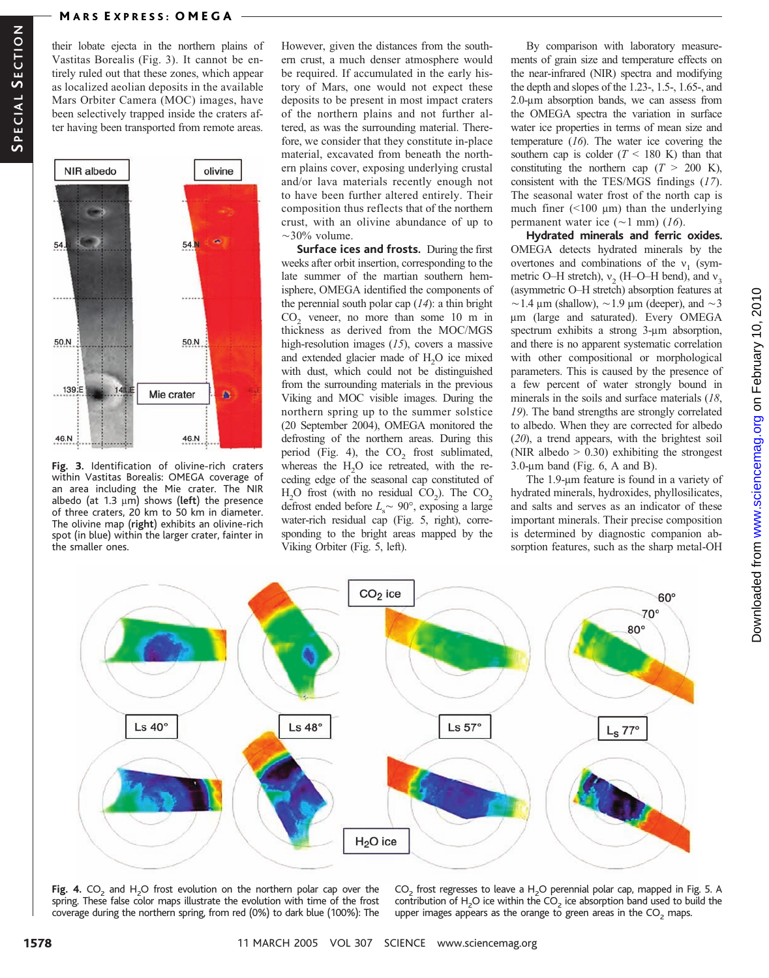their lobate ejecta in the northern plains of Vastitas Borealis (Fig. 3). It cannot be entirely ruled out that these zones, which appear as localized aeolian deposits in the available Mars Orbiter Camera (MOC) images, have been selectively trapped inside the craters after having been transported from remote areas.



Fig. 3. Identification of olivine-rich craters within Vastitas Borealis: OMEGA coverage of an area including the Mie crater. The NIR albedo (at 1.3  $\mu$ m) shows (left) the presence of three craters, 20 km to 50 km in diameter. The olivine map (right) exhibits an olivine-rich spot (in blue) within the larger crater, fainter in the smaller ones.

However, given the distances from the southern crust, a much denser atmosphere would be required. If accumulated in the early history of Mars, one would not expect these deposits to be present in most impact craters of the northern plains and not further altered, as was the surrounding material. Therefore, we consider that they constitute in-place material, excavated from beneath the northern plains cover, exposing underlying crustal and/or lava materials recently enough not to have been further altered entirely. Their composition thus reflects that of the northern crust, with an olivine abundance of up to  $\sim$ 30% volume.

Surface ices and frosts. During the first weeks after orbit insertion, corresponding to the late summer of the martian southern hemisphere, OMEGA identified the components of the perennial south polar cap  $(14)$ : a thin bright CO<sub>2</sub> veneer, no more than some 10 m in thickness as derived from the MOC/MGS high-resolution images  $(15)$ , covers a massive and extended glacier made of  $H_2O$  ice mixed with dust, which could not be distinguished from the surrounding materials in the previous Viking and MOC visible images. During the northern spring up to the summer solstice (20 September 2004), OMEGA monitored the defrosting of the northern areas. During this period (Fig. 4), the  $CO<sub>2</sub>$  frost sublimated, whereas the  $H_2O$  ice retreated, with the receding edge of the seasonal cap constituted of  $H_2O$  frost (with no residual  $CO_2$ ). The  $CO_2$ defrost ended before  $L<sub>s</sub> \sim 90^{\circ}$ , exposing a large water-rich residual cap (Fig. 5, right), corresponding to the bright areas mapped by the Viking Orbiter (Fig. 5, left).

By comparison with laboratory measurements of grain size and temperature effects on the near-infrared (NIR) spectra and modifying the depth and slopes of the 1.23-, 1.5-, 1.65-, and 2.0-um absorption bands, we can assess from the OMEGA spectra the variation in surface water ice properties in terms of mean size and temperature (16). The water ice covering the southern cap is colder  $(T < 180 \text{ K})$  than that constituting the northern cap  $(T > 200 \text{ K})$ , consistent with the TES/MGS findings (17). The seasonal water frost of the north cap is much finer  $(\leq 100 \mu m)$  than the underlying permanent water ice  $(\sim 1$  mm) (16).

Hydrated minerals and ferric oxides. OMEGA detects hydrated minerals by the overtones and combinations of the  $v_1$  (symmetric O–H stretch),  $v_2$  (H–O–H bend), and  $v_3$ (asymmetric O–H stretch) absorption features at  $\sim$ 1.4 µm (shallow),  $\sim$ 1.9 µm (deeper), and  $\sim$ 3 mm (large and saturated). Every OMEGA spectrum exhibits a strong  $3-\mu m$  absorption, and there is no apparent systematic correlation with other compositional or morphological parameters. This is caused by the presence of a few percent of water strongly bound in minerals in the soils and surface materials (18, 19). The band strengths are strongly correlated to albedo. When they are corrected for albedo (20), a trend appears, with the brightest soil (NIR albedo  $> 0.30$ ) exhibiting the strongest  $3.0$ -µm band (Fig. 6, A and B).

The 1.9-um feature is found in a variety of hydrated minerals, hydroxides, phyllosilicates, and salts and serves as an indicator of these important minerals. Their precise composition is determined by diagnostic companion absorption features, such as the sharp metal-OH



Fig. 4.  $CO<sub>2</sub>$  and H<sub>2</sub>O frost evolution on the northern polar cap over the spring. These false color maps illustrate the evolution with time of the frost coverage during the northern spring, from red (0%) to dark blue (100%): The

 $CO<sub>2</sub>$  frost regresses to leave a H<sub>2</sub>O perennial polar cap, mapped in Fig. 5. A contribution of H<sub>2</sub>O ice within the CO<sub>2</sub> ice absorption band used to build the upper images appears as the orange to green areas in the  $CO<sub>2</sub>$  maps.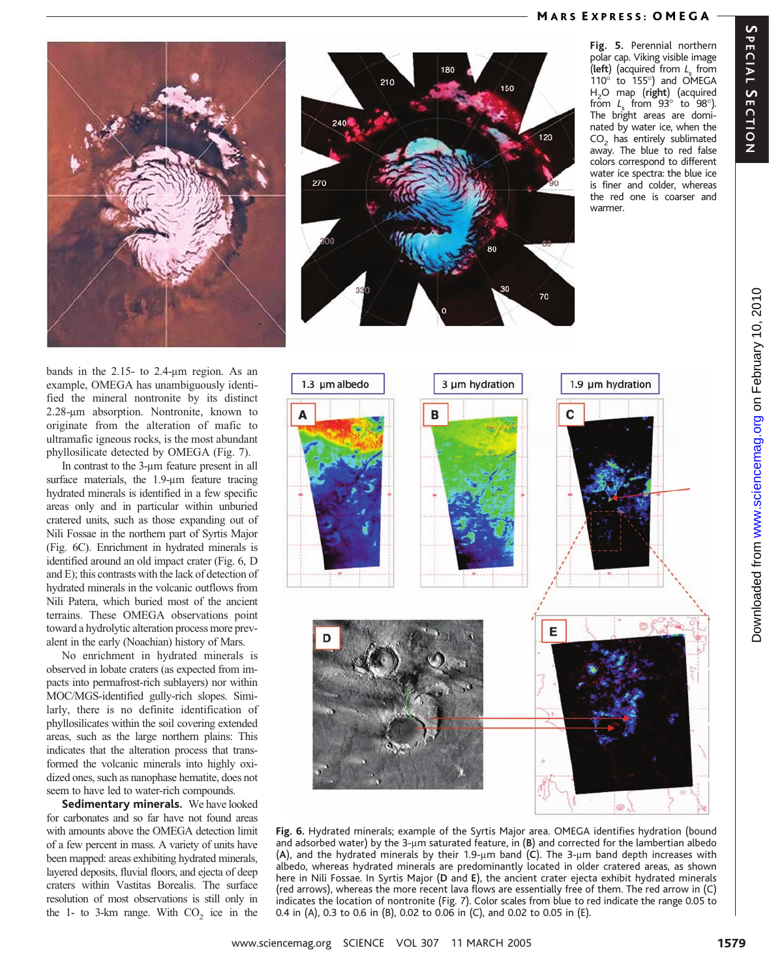# M ARS E XPRESS: OMEGA







Fig. 5. Perennial northern polar cap. Viking visible image (left) (acquired from  $L_s$  from  $110^\circ$  to  $155^\circ$ ) and OMEGA  $H<sub>2</sub>O$  map (right) (acquired from  $L_s$  from 93 $\degree$  to 98 $\degree$ ). The bright areas are dominated by water ice, when the  $CO<sub>2</sub>$  has entirely sublimated away. The blue to red false colors correspond to different water ice spectra: the blue ice is finer and colder, whereas the red one is coarser and warmer.

bands in the  $2.15$ - to  $2.4$ -µm region. As an example, OMEGA has unambiguously identified the mineral nontronite by its distinct 2.28-um absorption. Nontronite, known to originate from the alteration of mafic to ultramafic igneous rocks, is the most abundant phyllosilicate detected by OMEGA (Fig. 7).

In contrast to the 3-um feature present in all surface materials, the  $1.9$ - $\mu$ m feature tracing hydrated minerals is identified in a few specific areas only and in particular within unburied cratered units, such as those expanding out of Nili Fossae in the northern part of Syrtis Major (Fig. 6C). Enrichment in hydrated minerals is identified around an old impact crater (Fig. 6, D and E); this contrasts with the lack of detection of hydrated minerals in the volcanic outflows from Nili Patera, which buried most of the ancient terrains. These OMEGA observations point toward a hydrolytic alteration process more prevalent in the early (Noachian) history of Mars.

No enrichment in hydrated minerals is observed in lobate craters (as expected from impacts into permafrost-rich sublayers) nor within MOC/MGS-identified gully-rich slopes. Similarly, there is no definite identification of phyllosilicates within the soil covering extended areas, such as the large northern plains: This indicates that the alteration process that transformed the volcanic minerals into highly oxidized ones, such as nanophase hematite, does not seem to have led to water-rich compounds.

Sedimentary minerals. We have looked for carbonates and so far have not found areas with amounts above the OMEGA detection limit of a few percent in mass. A variety of units have been mapped: areas exhibiting hydrated minerals, layered deposits, fluvial floors, and ejecta of deep craters within Vastitas Borealis. The surface resolution of most observations is still only in the  $1-$  to  $3-km$  range. With  $CO<sub>2</sub>$  ice in the



Fig. 6. Hydrated minerals; example of the Syrtis Major area. OMEGA identifies hydration (bound and adsorbed water) by the 3-µm saturated feature, in  $(B)$  and corrected for the lambertian albedo (A), and the hydrated minerals by their 1.9- $\mu$ m band (C). The 3- $\mu$ m band depth increases with albedo, whereas hydrated minerals are predominantly located in older cratered areas, as shown here in Nili Fossae. In Syrtis Major (D and E), the ancient crater ejecta exhibit hydrated minerals (red arrows), whereas the more recent lava flows are essentially free of them. The red arrow in (C) indicates the location of nontronite (Fig. 7). Color scales from blue to red indicate the range 0.05 to 0.4 in (A), 0.3 to 0.6 in (B), 0.02 to 0.06 in (C), and 0.02 to 0.05 in (E).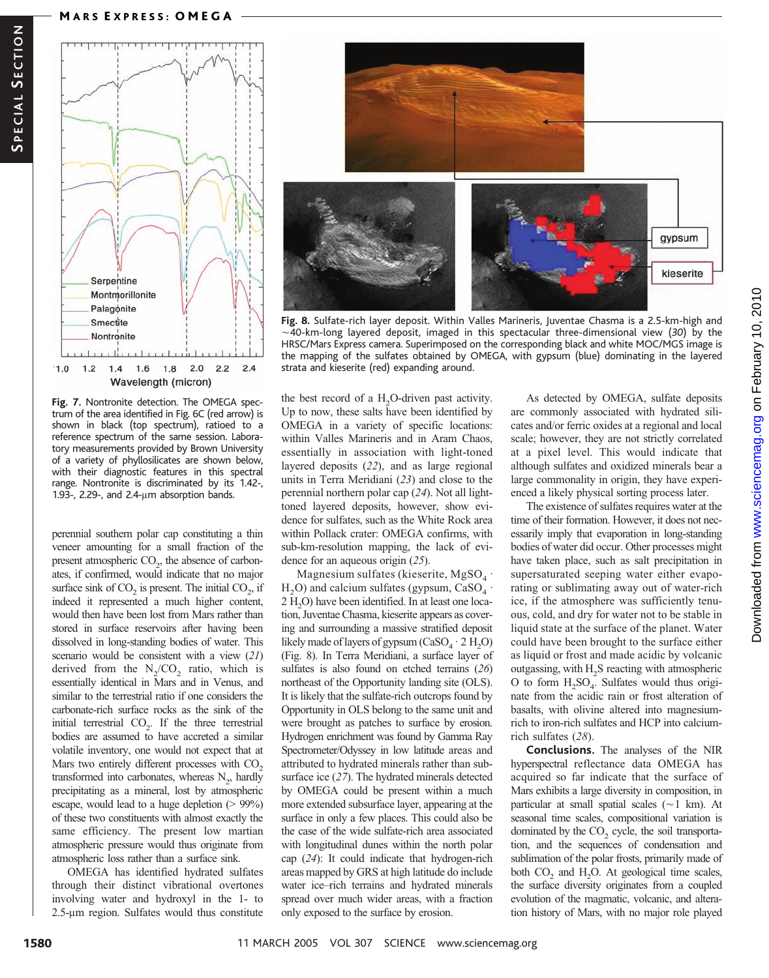### **MARS EXPRESS: OMEGA**



Fig. 7. Nontronite detection. The OMEGA spectrum of the area identified in Fig. 6C (red arrow) is shown in black (top spectrum), ratioed to a reference spectrum of the same session. Laboratory measurements provided by Brown University of a variety of phyllosilicates are shown below, with their diagnostic features in this spectral range. Nontronite is discriminated by its 1.42-, 1.93-, 2.29-, and 2.4- $\mu$ m absorption bands.

perennial southern polar cap constituting a thin veneer amounting for a small fraction of the present atmospheric  $CO<sub>2</sub>$ , the absence of carbonates, if confirmed, would indicate that no major surface sink of  $CO_2$  is present. The initial  $CO_2$ , if indeed it represented a much higher content, would then have been lost from Mars rather than stored in surface reservoirs after having been dissolved in long-standing bodies of water. This scenario would be consistent with a view (21) derived from the  $N_2/CO_2$  ratio, which is essentially identical in Mars and in Venus, and similar to the terrestrial ratio if one considers the carbonate-rich surface rocks as the sink of the initial terrestrial  $CO<sub>2</sub>$ . If the three terrestrial bodies are assumed to have accreted a similar volatile inventory, one would not expect that at Mars two entirely different processes with CO<sub>2</sub> transformed into carbonates, whereas  $N_2$ , hardly precipitating as a mineral, lost by atmospheric escape, would lead to a huge depletion  $(> 99\%)$ of these two constituents with almost exactly the same efficiency. The present low martian atmospheric pressure would thus originate from atmospheric loss rather than a surface sink.

OMEGA has identified hydrated sulfates through their distinct vibrational overtones involving water and hydroxyl in the 1- to 2.5-um region. Sulfates would thus constitute



Fig. 8. Sulfate-rich layer deposit. Within Valles Marineris, Juventae Chasma is a 2.5-km-high and  $\sim$  40-km-long layered deposit, imaged in this spectacular three-dimensional view (30) by the HRSC/Mars Express camera. Superimposed on the corresponding black and white MOC/MGS image is the mapping of the sulfates obtained by OMEGA, with gypsum (blue) dominating in the layered strata and kieserite (red) expanding around.

the best record of a  $H_2O$ -driven past activity. Up to now, these salts have been identified by OMEGA in a variety of specific locations: within Valles Marineris and in Aram Chaos, essentially in association with light-toned layered deposits (22), and as large regional units in Terra Meridiani (23) and close to the perennial northern polar cap (24). Not all lighttoned layered deposits, however, show evidence for sulfates, such as the White Rock area within Pollack crater: OMEGA confirms, with sub-km-resolution mapping, the lack of evidence for an aqueous origin (25).

Magnesium sulfates (kieserite,  $MgSO<sub>4</sub>$ .  $H_2O$ ) and calcium sulfates (gypsum, CaSO<sub>4</sub> ·  $2 H<sub>2</sub>O$ ) have been identified. In at least one location, Juventae Chasma, kieserite appears as covering and surrounding a massive stratified deposit likely made of layers of gypsum  $(CaSO<sub>4</sub> \cdot 2 H<sub>2</sub>O)$ (Fig. 8). In Terra Meridiani, a surface layer of sulfates is also found on etched terrains (26) northeast of the Opportunity landing site (OLS). It is likely that the sulfate-rich outcrops found by Opportunity in OLS belong to the same unit and were brought as patches to surface by erosion. Hydrogen enrichment was found by Gamma Ray Spectrometer/Odyssey in low latitude areas and attributed to hydrated minerals rather than subsurface ice (27). The hydrated minerals detected by OMEGA could be present within a much more extended subsurface layer, appearing at the surface in only a few places. This could also be the case of the wide sulfate-rich area associated with longitudinal dunes within the north polar cap (24): It could indicate that hydrogen-rich areas mapped by GRS at high latitude do include water ice–rich terrains and hydrated minerals spread over much wider areas, with a fraction only exposed to the surface by erosion.

As detected by OMEGA, sulfate deposits are commonly associated with hydrated silicates and/or ferric oxides at a regional and local scale; however, they are not strictly correlated at a pixel level. This would indicate that although sulfates and oxidized minerals bear a large commonality in origin, they have experienced a likely physical sorting process later.

The existence of sulfates requires water at the time of their formation. However, it does not necessarily imply that evaporation in long-standing bodies of water did occur. Other processes might have taken place, such as salt precipitation in supersaturated seeping water either evaporating or sublimating away out of water-rich ice, if the atmosphere was sufficiently tenuous, cold, and dry for water not to be stable in liquid state at the surface of the planet. Water could have been brought to the surface either as liquid or frost and made acidic by volcanic outgassing, with H2S reacting with atmospheric O to form  $H_2SO_4$ . Sulfates would thus originate from the acidic rain or frost alteration of basalts, with olivine altered into magnesiumrich to iron-rich sulfates and HCP into calciumrich sulfates (28).

Conclusions. The analyses of the NIR hyperspectral reflectance data OMEGA has acquired so far indicate that the surface of Mars exhibits a large diversity in composition, in particular at small spatial scales  $(\sim 1 \text{ km})$ . At seasonal time scales, compositional variation is dominated by the  $CO<sub>2</sub>$  cycle, the soil transportation, and the sequences of condensation and sublimation of the polar frosts, primarily made of both  $CO_2$  and  $H_2O$ . At geological time scales, the surface diversity originates from a coupled evolution of the magmatic, volcanic, and alteration history of Mars, with no major role played